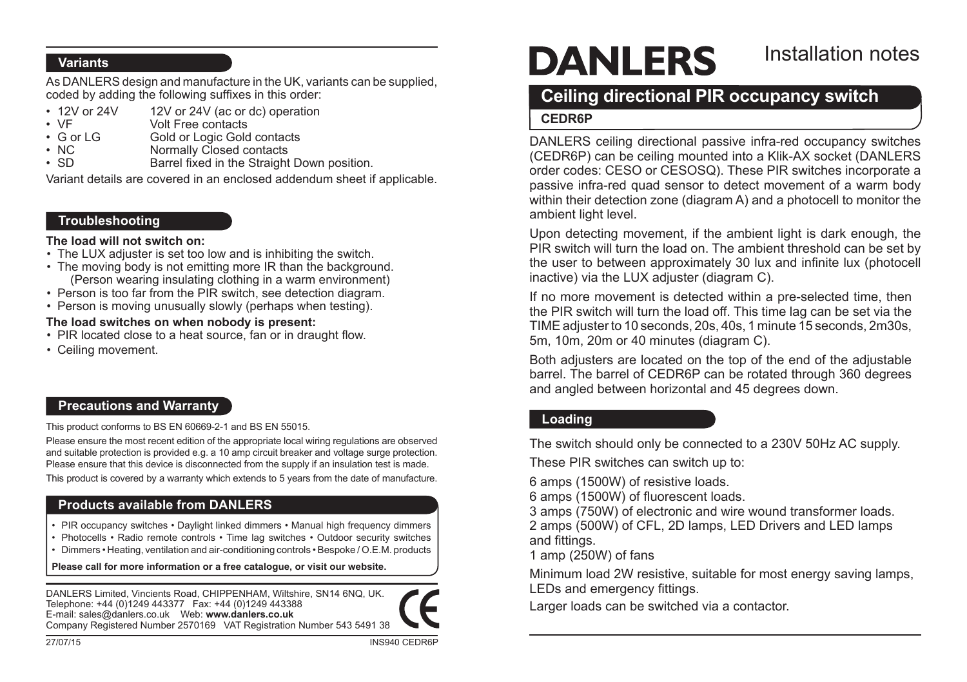#### **Variants**

As DANLERS design and manufacture in the UK, variants can be supplied, coded by adding the following suffixes in this order:

- 12V or 24V 12V or 24V (ac or dc) operation<br>• VF Volt Free contacts
- • VF Volt Free contacts
- G or LG Gold or Logic Gold contacts<br>• NC Mormally Closed contacts
- NC Normally Closed contacts<br>• SD Barrel fixed in the Straight
- Barrel fixed in the Straight Down position.

Variant details are covered in an enclosed addendum sheet if applicable.

#### **Troubleshooting**

#### **The load will not switch on:**

- The LUX adjuster is set too low and is inhibiting the switch.
- The moving body is not emitting more IR than the background. (Person wearing insulating clothing in a warm environment)
- Person is too far from the PIR switch, see detection diagram.
- Person is moving unusually slowly (perhaps when testing).

#### **The load switches on when nobody is present:**

- PIR located close to a heat source, fan or in draught flow.
- • Ceiling movement.

### **Precautions and Warranty**

This product conforms to BS EN 60669-2-1 and BS EN 55015.

Please ensure the most recent edition of the appropriate local wiring regulations are observed and suitable protection is provided e.g. a 10 amp circuit breaker and voltage surge protection. Please ensure that this device is disconnected from the supply if an insulation test is made.

This product is covered by a warranty which extends to 5 years from the date of manufacture.

### **Products available from DANLERS**

- PIR occupancy switches Daylight linked dimmers Manual high frequency dimmers
- Photocells Radio remote controls Time lag switches Outdoor security switches
- • Dimmers Heating, ventilation and air-conditioning controls Bespoke / O.E.M. products

**Please call for more information or a free catalogue, or visit our website.**

DANLERS Limited, Vincients Road, CHIPPENHAM, Wiltshire, SN14 6NQ, UK. Telephone: +44 (0)1249 443377 Fax: +44 (0)1249 443388 E-mail: sales@danlers.co.uk Web: **www.danlers.co.uk** Company Registered Number 2570169 VAT Registration Number 543 5491 38



# **DANLERS**

# Installation notes

# **Ceiling directional PIR occupancy switch**

#### **CEDR6P**

DANLERS ceiling directional passive infra-red occupancy switches (CEDR6P) can be ceiling mounted into a Klik-AX socket (DANLERS order codes: CESO or CESOSQ). These PIR switches incorporate a passive infra-red quad sensor to detect movement of a warm body within their detection zone (diagram A) and a photocell to monitor the ambient light level.

Upon detecting movement, if the ambient light is dark enough, the PIR switch will turn the load on. The ambient threshold can be set by the user to between approximately 30 lux and infinite lux (photocell inactive) via the LUX adjuster (diagram C).

If no more movement is detected within a pre-selected time, then the PIR switch will turn the load off. This time lag can be set via the TIMEadjusterto 10 seconds, 20s, 40s, 1 minute 15 seconds, 2m30s, 5m, 10m, 20m or 40 minutes (diagram C).

Both adjusters are located on the top of the end of the adjustable barrel. The barrel of CEDR6P can be rotated through 360 degrees and angled between horizontal and 45 degrees down.

# **Loading**

The switch should only be connected to a 230V 50Hz AC supply.

These PIR switches can switch up to:

6 amps (1500W) of resistive loads.

6 amps (1500W) of fluorescent loads.

3 amps (750W) of electronic and wire wound transformer loads.

2 amps (500W) of CFL, 2D lamps, LED Drivers and LED lamps and fittings.

1 amp (250W) of fans

Minimum load 2W resistive, suitable for most energy saving lamps, LEDs and emergency fittings.

Larger loads can be switched via a contactor.